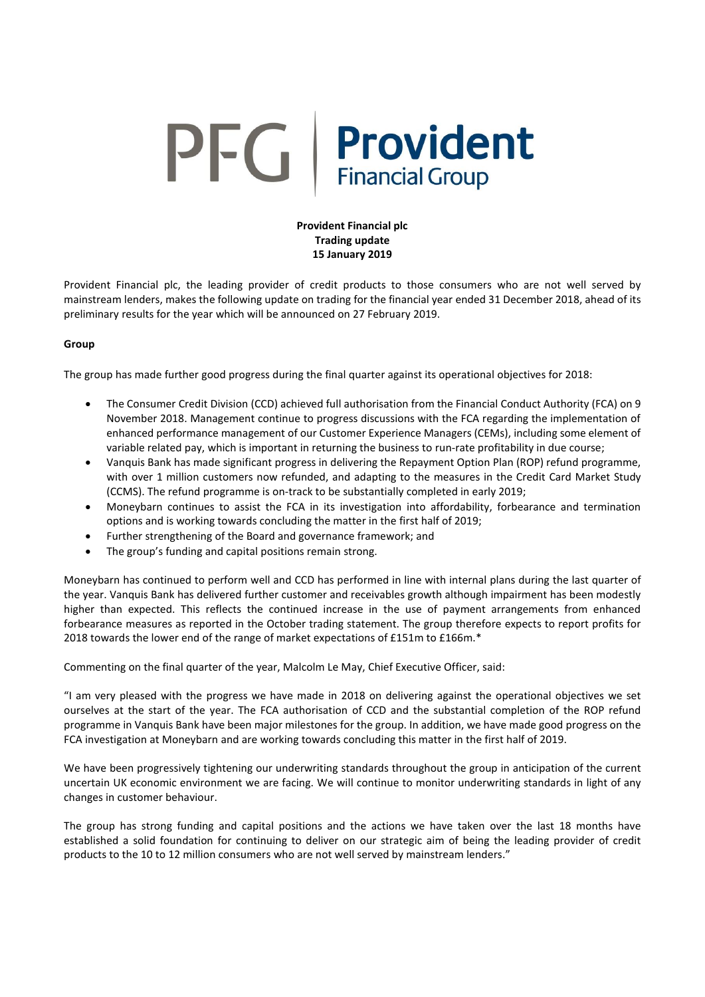# PFG | Provident

# **Provident Financial plc Trading update 15 January 2019**

Provident Financial plc, the leading provider of credit products to those consumers who are not well served by mainstream lenders, makes the following update on trading for the financial year ended 31 December 2018, ahead of its preliminary results for the year which will be announced on 27 February 2019.

# **Group**

The group has made further good progress during the final quarter against its operational objectives for 2018:

- The Consumer Credit Division (CCD) achieved full authorisation from the Financial Conduct Authority (FCA) on 9 November 2018. Management continue to progress discussions with the FCA regarding the implementation of enhanced performance management of our Customer Experience Managers (CEMs), including some element of variable related pay, which is important in returning the business to run-rate profitability in due course;
- Vanquis Bank has made significant progress in delivering the Repayment Option Plan (ROP) refund programme, with over 1 million customers now refunded, and adapting to the measures in the Credit Card Market Study (CCMS). The refund programme is on-track to be substantially completed in early 2019;
- Moneybarn continues to assist the FCA in its investigation into affordability, forbearance and termination options and is working towards concluding the matter in the first half of 2019;
- Further strengthening of the Board and governance framework; and
- The group's funding and capital positions remain strong.

Moneybarn has continued to perform well and CCD has performed in line with internal plans during the last quarter of the year. Vanquis Bank has delivered further customer and receivables growth although impairment has been modestly higher than expected. This reflects the continued increase in the use of payment arrangements from enhanced forbearance measures as reported in the October trading statement. The group therefore expects to report profits for 2018 towards the lower end of the range of market expectations of £151m to £166m.\*

Commenting on the final quarter of the year, Malcolm Le May, Chief Executive Officer, said:

"I am very pleased with the progress we have made in 2018 on delivering against the operational objectives we set ourselves at the start of the year. The FCA authorisation of CCD and the substantial completion of the ROP refund programme in Vanquis Bank have been major milestones for the group. In addition, we have made good progress on the FCA investigation at Moneybarn and are working towards concluding this matter in the first half of 2019.

We have been progressively tightening our underwriting standards throughout the group in anticipation of the current uncertain UK economic environment we are facing. We will continue to monitor underwriting standards in light of any changes in customer behaviour.

The group has strong funding and capital positions and the actions we have taken over the last 18 months have established a solid foundation for continuing to deliver on our strategic aim of being the leading provider of credit products to the 10 to 12 million consumers who are not well served by mainstream lenders."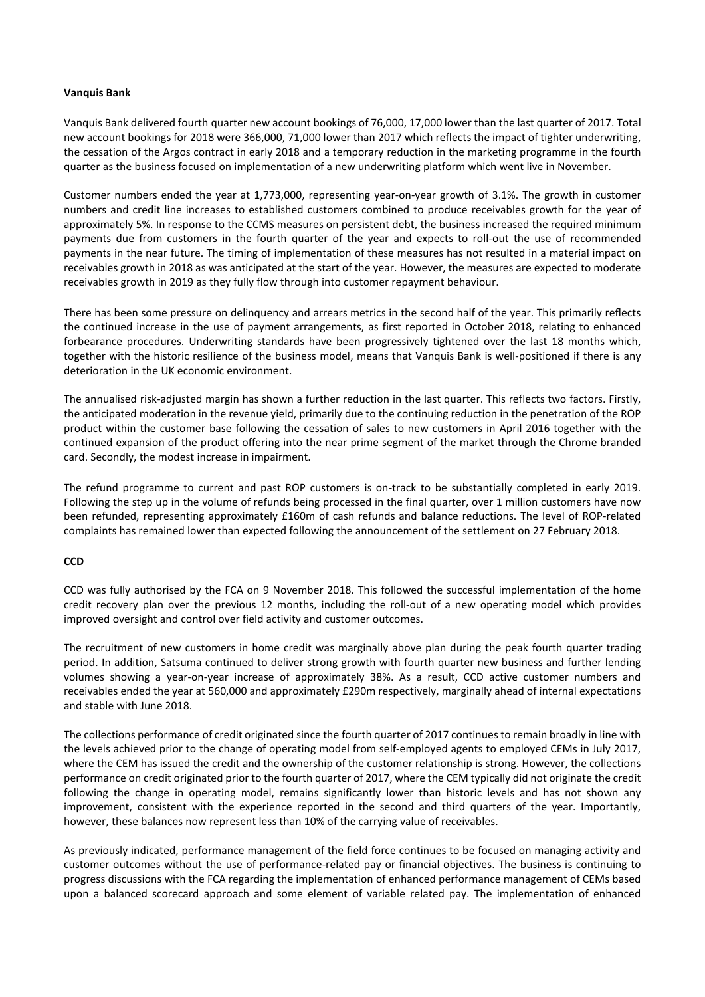### **Vanquis Bank**

Vanquis Bank delivered fourth quarter new account bookings of 76,000, 17,000 lower than the last quarter of 2017. Total new account bookings for 2018 were 366,000, 71,000 lower than 2017 which reflects the impact of tighter underwriting, the cessation of the Argos contract in early 2018 and a temporary reduction in the marketing programme in the fourth quarter as the business focused on implementation of a new underwriting platform which went live in November.

Customer numbers ended the year at 1,773,000, representing year-on-year growth of 3.1%. The growth in customer numbers and credit line increases to established customers combined to produce receivables growth for the year of approximately 5%. In response to the CCMS measures on persistent debt, the business increased the required minimum payments due from customers in the fourth quarter of the year and expects to roll-out the use of recommended payments in the near future. The timing of implementation of these measures has not resulted in a material impact on receivables growth in 2018 as was anticipated at the start of the year. However, the measures are expected to moderate receivables growth in 2019 as they fully flow through into customer repayment behaviour.

There has been some pressure on delinquency and arrears metrics in the second half of the year. This primarily reflects the continued increase in the use of payment arrangements, as first reported in October 2018, relating to enhanced forbearance procedures. Underwriting standards have been progressively tightened over the last 18 months which, together with the historic resilience of the business model, means that Vanquis Bank is well-positioned if there is any deterioration in the UK economic environment.

The annualised risk-adjusted margin has shown a further reduction in the last quarter. This reflects two factors. Firstly, the anticipated moderation in the revenue yield, primarily due to the continuing reduction in the penetration of the ROP product within the customer base following the cessation of sales to new customers in April 2016 together with the continued expansion of the product offering into the near prime segment of the market through the Chrome branded card. Secondly, the modest increase in impairment.

The refund programme to current and past ROP customers is on-track to be substantially completed in early 2019. Following the step up in the volume of refunds being processed in the final quarter, over 1 million customers have now been refunded, representing approximately £160m of cash refunds and balance reductions. The level of ROP-related complaints has remained lower than expected following the announcement of the settlement on 27 February 2018.

### **CCD**

CCD was fully authorised by the FCA on 9 November 2018. This followed the successful implementation of the home credit recovery plan over the previous 12 months, including the roll-out of a new operating model which provides improved oversight and control over field activity and customer outcomes.

The recruitment of new customers in home credit was marginally above plan during the peak fourth quarter trading period. In addition, Satsuma continued to deliver strong growth with fourth quarter new business and further lending volumes showing a year-on-year increase of approximately 38%. As a result, CCD active customer numbers and receivables ended the year at 560,000 and approximately £290m respectively, marginally ahead of internal expectations and stable with June 2018.

The collections performance of credit originated since the fourth quarter of 2017 continuesto remain broadly in line with the levels achieved prior to the change of operating model from self-employed agents to employed CEMs in July 2017, where the CEM has issued the credit and the ownership of the customer relationship is strong. However, the collections performance on credit originated prior to the fourth quarter of 2017, where the CEM typically did not originate the credit following the change in operating model, remains significantly lower than historic levels and has not shown any improvement, consistent with the experience reported in the second and third quarters of the year. Importantly, however, these balances now represent less than 10% of the carrying value of receivables.

As previously indicated, performance management of the field force continues to be focused on managing activity and customer outcomes without the use of performance-related pay or financial objectives. The business is continuing to progress discussions with the FCA regarding the implementation of enhanced performance management of CEMs based upon a balanced scorecard approach and some element of variable related pay. The implementation of enhanced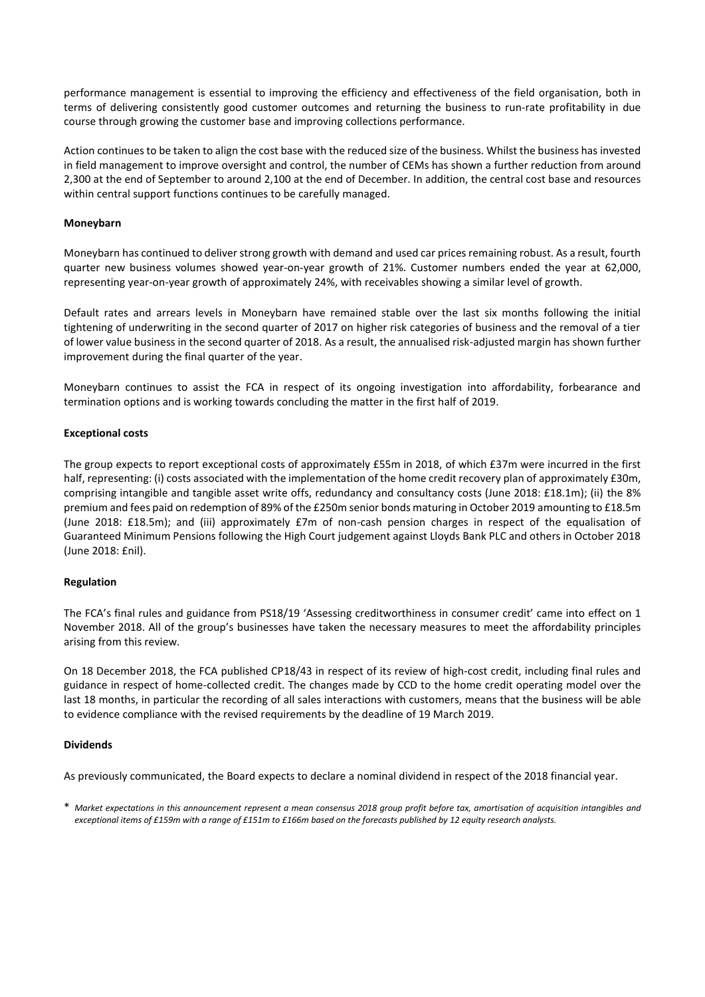performance management is essential to improving the efficiency and effectiveness of the field organisation, both in terms of delivering consistently good customer outcomes and returning the business to run-rate profitability in due course through growing the customer base and improving collections performance.

Action continues to be taken to align the cost base with the reduced size of the business. Whilst the business has invested in field management to improve oversight and control, the number of CEMs has shown a further reduction from around 2,300 at the end of September to around 2,100 at the end of December. In addition, the central cost base and resources within central support functions continues to be carefully managed.

## **Moneybarn**

Moneybarn has continued to deliver strong growth with demand and used car prices remaining robust. As a result, fourth quarter new business volumes showed year-on-year growth of 21%. Customer numbers ended the year at 62,000, representing year-on-year growth of approximately 24%, with receivables showing a similar level of growth.

Default rates and arrears levels in Moneybarn have remained stable over the last six months following the initial tightening of underwriting in the second quarter of 2017 on higher risk categories of business and the removal of a tier of lower value business in the second quarter of 2018. As a result, the annualised risk-adjusted margin has shown further improvement during the final quarter of the year.

Moneybarn continues to assist the FCA in respect of its ongoing investigation into affordability, forbearance and termination options and is working towards concluding the matter in the first half of 2019.

### **Exceptional costs**

The group expects to report exceptional costs of approximately £55m in 2018, of which £37m were incurred in the first half, representing: (i) costs associated with the implementation of the home credit recovery plan of approximately £30m, comprising intangible and tangible asset write offs, redundancy and consultancy costs (June 2018: £18.1m); (ii) the 8% premium and fees paid on redemption of 89% of the £250m senior bonds maturing in October 2019 amounting to £18.5m (June 2018: £18.5m); and (iii) approximately £7m of non-cash pension charges in respect of the equalisation of Guaranteed Minimum Pensions following the High Court judgement against Lloyds Bank PLC and others in October 2018 (June 2018: £nil).

### **Regulation**

The FCA's final rules and guidance from PS18/19 'Assessing creditworthiness in consumer credit' came into effect on 1 November 2018. All of the group's businesses have taken the necessary measures to meet the affordability principles arising from this review.

On 18 December 2018, the FCA published CP18/43 in respect of its review of high-cost credit, including final rules and guidance in respect of home-collected credit. The changes made by CCD to the home credit operating model over the last 18 months, in particular the recording of all sales interactions with customers, means that the business will be able to evidence compliance with the revised requirements by the deadline of 19 March 2019.

### **Dividends**

As previously communicated, the Board expects to declare a nominal dividend in respect of the 2018 financial year.

\* *Market expectations in this announcement represent a mean consensus 2018 group profit before tax, amortisation of acquisition intangibles and exceptional items of £159m with a range of £151m to £166m based on the forecasts published by 12 equity research analysts.*